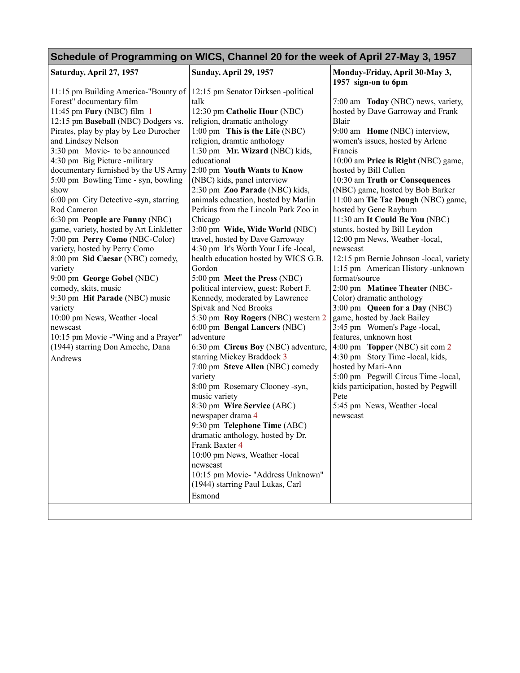## **Schedule of Programming on WICS, Channel 20 for the week of April 27-May 3, 1957**

| Saturday, April 27, 1957                | <b>Sunday, April 29, 1957</b>         | Monday-Friday, April 30-May 3,<br>1957 sign-on to 6pm |
|-----------------------------------------|---------------------------------------|-------------------------------------------------------|
| 11:15 pm Building America-"Bounty of    | 12:15 pm Senator Dirksen -political   |                                                       |
| Forest" documentary film                | talk                                  | 7:00 am Today (NBC) news, variety,                    |
| 11:45 pm Fury (NBC) film 1              | 12:30 pm Catholic Hour (NBC)          | hosted by Dave Garroway and Frank                     |
| 12:15 pm Baseball (NBC) Dodgers vs.     | religion, dramatic anthology          | Blair                                                 |
| Pirates, play by play by Leo Durocher   | 1:00 pm This is the Life (NBC)        | 9:00 am Home (NBC) interview,                         |
| and Lindsey Nelson                      | religion, dramtic anthology           | women's issues, hosted by Arlene                      |
| 3:30 pm Movie- to be announced          | 1:30 pm Mr. Wizard (NBC) kids,        | Francis                                               |
| 4:30 pm Big Picture -military           | educational                           | 10:00 am Price is Right (NBC) game,                   |
| documentary furnished by the US Army    | 2:00 pm Youth Wants to Know           | hosted by Bill Cullen                                 |
| 5:00 pm Bowling Time - syn, bowling     | (NBC) kids, panel interview           | 10:30 am Truth or Consequences                        |
| show                                    | 2:30 pm Zoo Parade (NBC) kids,        | (NBC) game, hosted by Bob Barker                      |
| 6:00 pm City Detective -syn, starring   | animals education, hosted by Marlin   | 11:00 am Tic Tac Dough (NBC) game,                    |
| Rod Cameron                             | Perkins from the Lincoln Park Zoo in  | hosted by Gene Rayburn                                |
| 6:30 pm People are Funny (NBC)          | Chicago                               | 11:30 am It Could Be You (NBC)                        |
| game, variety, hosted by Art Linkletter | 3:00 pm Wide, Wide World (NBC)        | stunts, hosted by Bill Leydon                         |
| 7:00 pm Perry Como (NBC-Color)          | travel, hosted by Dave Garroway       | 12:00 pm News, Weather -local,                        |
| variety, hosted by Perry Como           | 4:30 pm It's Worth Your Life -local,  | newscast                                              |
| 8:00 pm Sid Caesar (NBC) comedy,        | health education hosted by WICS G.B.  | 12:15 pm Bernie Johnson -local, variety               |
| variety                                 | Gordon                                | 1:15 pm American History -unknown                     |
| 9:00 pm George Gobel (NBC)              | 5:00 pm Meet the Press (NBC)          | format/source                                         |
| comedy, skits, music                    | political interview, guest: Robert F. | 2:00 pm Matinee Theater (NBC-                         |
| 9:30 pm Hit Parade (NBC) music          | Kennedy, moderated by Lawrence        | Color) dramatic anthology                             |
| variety                                 | Spivak and Ned Brooks                 | 3:00 pm Queen for a Day (NBC)                         |
| 10:00 pm News, Weather -local           | 5:30 pm Roy Rogers (NBC) western 2    | game, hosted by Jack Bailey                           |
| newscast                                | 6:00 pm Bengal Lancers (NBC)          | 3:45 pm Women's Page -local,                          |
| 10:15 pm Movie -"Wing and a Prayer"     | adventure                             | features, unknown host                                |
| (1944) starring Don Ameche, Dana        | 6:30 pm Circus Boy (NBC) adventure,   | 4:00 pm Topper (NBC) sit com 2                        |
| Andrews                                 | starring Mickey Braddock 3            | 4:30 pm Story Time -local, kids,                      |
|                                         | 7:00 pm Steve Allen (NBC) comedy      | hosted by Mari-Ann                                    |
|                                         | variety                               | 5:00 pm Pegwill Circus Time - local,                  |
|                                         | 8:00 pm Rosemary Clooney -syn,        | kids participation, hosted by Pegwill                 |
|                                         | music variety                         | Pete                                                  |
|                                         | 8:30 pm Wire Service (ABC)            | 5:45 pm News, Weather -local                          |
|                                         | newspaper drama 4                     | newscast                                              |
|                                         | 9:30 pm Telephone Time (ABC)          |                                                       |
|                                         | dramatic anthology, hosted by Dr.     |                                                       |
|                                         | Frank Baxter 4                        |                                                       |
|                                         | 10:00 pm News, Weather -local         |                                                       |
|                                         | newscast                              |                                                       |
|                                         | 10:15 pm Movie- "Address Unknown"     |                                                       |
|                                         | (1944) starring Paul Lukas, Carl      |                                                       |
|                                         | Esmond                                |                                                       |
|                                         |                                       |                                                       |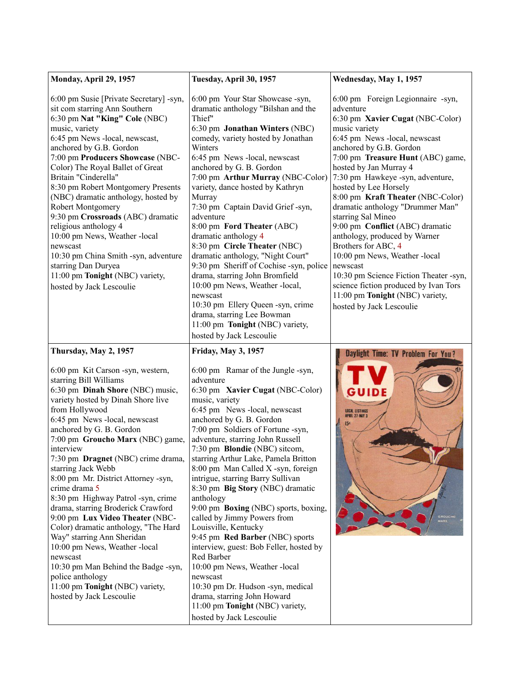| Monday, April 29, 1957                                                                                                                                                                                                                                                                                                                                                                                                                                                                                                                                                                                                                                                                                                                                | Tuesday, April 30, 1957                                                                                                                                                                                                                                                                                                                                                                                                                                                                                                                                                                                                                                                                                                                                                                                                     | Wednesday, May 1, 1957                                                                                                                                                                                                                                                                                                                                                                                                                                                                                                                                                                                                                                                               |
|-------------------------------------------------------------------------------------------------------------------------------------------------------------------------------------------------------------------------------------------------------------------------------------------------------------------------------------------------------------------------------------------------------------------------------------------------------------------------------------------------------------------------------------------------------------------------------------------------------------------------------------------------------------------------------------------------------------------------------------------------------|-----------------------------------------------------------------------------------------------------------------------------------------------------------------------------------------------------------------------------------------------------------------------------------------------------------------------------------------------------------------------------------------------------------------------------------------------------------------------------------------------------------------------------------------------------------------------------------------------------------------------------------------------------------------------------------------------------------------------------------------------------------------------------------------------------------------------------|--------------------------------------------------------------------------------------------------------------------------------------------------------------------------------------------------------------------------------------------------------------------------------------------------------------------------------------------------------------------------------------------------------------------------------------------------------------------------------------------------------------------------------------------------------------------------------------------------------------------------------------------------------------------------------------|
| 6:00 pm Susie [Private Secretary] -syn,<br>sit com starring Ann Southern<br>6:30 pm Nat "King" Cole (NBC)<br>music, variety<br>6:45 pm News -local, newscast,<br>anchored by G.B. Gordon<br>7:00 pm Producers Showcase (NBC-<br>Color) The Royal Ballet of Great<br>Britain "Cinderella"<br>8:30 pm Robert Montgomery Presents<br>(NBC) dramatic anthology, hosted by<br>Robert Montgomery<br>9:30 pm Crossroads (ABC) dramatic<br>religious anthology 4<br>10:00 pm News, Weather -local<br>newscast<br>10:30 pm China Smith -syn, adventure<br>starring Dan Duryea<br>11:00 pm Tonight (NBC) variety,<br>hosted by Jack Lescoulie                                                                                                                   | 6:00 pm Your Star Showcase -syn,<br>dramatic anthology "Bilshan and the<br>Thief"<br>6:30 pm Jonathan Winters (NBC)<br>comedy, variety hosted by Jonathan<br>Winters<br>6:45 pm News -local, newscast<br>anchored by G. B. Gordon<br>7:00 pm Arthur Murray (NBC-Color)<br>variety, dance hosted by Kathryn<br>Murray<br>7:30 pm Captain David Grief -syn,<br>adventure<br>8:00 pm Ford Theater (ABC)<br>dramatic anthology 4<br>8:30 pm Circle Theater (NBC)<br>dramatic anthology, "Night Court"<br>9:30 pm Sheriff of Cochise -syn, police<br>drama, starring John Bromfield<br>10:00 pm News, Weather -local,<br>newscast<br>10:30 pm Ellery Queen -syn, crime<br>drama, starring Lee Bowman<br>11:00 pm Tonight (NBC) variety,<br>hosted by Jack Lescoulie                                                              | 6:00 pm Foreign Legionnaire -syn,<br>adventure<br>6:30 pm Xavier Cugat (NBC-Color)<br>music variety<br>6:45 pm News -local, newscast<br>anchored by G.B. Gordon<br>7:00 pm Treasure Hunt (ABC) game,<br>hosted by Jan Murray 4<br>7:30 pm Hawkeye -syn, adventure,<br>hosted by Lee Horsely<br>8:00 pm Kraft Theater (NBC-Color)<br>dramatic anthology "Drummer Man"<br>starring Sal Mineo<br>9:00 pm Conflict (ABC) dramatic<br>anthology, produced by Warner<br>Brothers for ABC, 4<br>10:00 pm News, Weather -local<br>newscast<br>10:30 pm Science Fiction Theater -syn,<br>science fiction produced by Ivan Tors<br>11:00 pm Tonight (NBC) variety,<br>hosted by Jack Lescoulie |
| Thursday, May 2, 1957                                                                                                                                                                                                                                                                                                                                                                                                                                                                                                                                                                                                                                                                                                                                 | <b>Friday, May 3, 1957</b>                                                                                                                                                                                                                                                                                                                                                                                                                                                                                                                                                                                                                                                                                                                                                                                                  | Daylight Time: TV Problem For You?                                                                                                                                                                                                                                                                                                                                                                                                                                                                                                                                                                                                                                                   |
| 6:00 pm Kit Carson -syn, western,<br>starring Bill Williams<br>6:30 pm Dinah Shore (NBC) music,<br>variety hosted by Dinah Shore live<br>from Hollywood<br>6:45 pm News -local, newscast<br>anchored by G. B. Gordon<br>7:00 pm Groucho Marx (NBC) game,<br>interview<br>7:30 pm Dragnet (NBC) crime drama,<br>starring Jack Webb<br>8:00 pm Mr. District Attorney -syn,<br>crime drama 5<br>8:30 pm Highway Patrol -syn, crime<br>drama, starring Broderick Crawford<br>9:00 pm Lux Video Theater (NBC-<br>Color) dramatic anthology, "The Hard<br>Way" starring Ann Sheridan<br>10:00 pm News, Weather -local<br>newscast<br>10:30 pm Man Behind the Badge -syn,<br>police anthology<br>11:00 pm Tonight (NBC) variety,<br>hosted by Jack Lescoulie | 6:00 pm Ramar of the Jungle -syn,<br>adventure<br>6:30 pm Xavier Cugat (NBC-Color)<br>music, variety<br>6:45 pm News - local, newscast<br>anchored by G. B. Gordon<br>7:00 pm Soldiers of Fortune -syn,<br>adventure, starring John Russell<br>7:30 pm Blondie (NBC) sitcom,<br>starring Arthur Lake, Pamela Britton<br>8:00 pm Man Called X -syn, foreign<br>intrigue, starring Barry Sullivan<br>8:30 pm Big Story (NBC) dramatic<br>anthology<br>9:00 pm Boxing (NBC) sports, boxing,<br>called by Jimmy Powers from<br>Louisville, Kentucky<br>9:45 pm Red Barber (NBC) sports<br>interview, guest: Bob Feller, hosted by<br>Red Barber<br>10:00 pm News, Weather -local<br>newscast<br>10:30 pm Dr. Hudson -syn, medical<br>drama, starring John Howard<br>11:00 pm Tonight (NBC) variety,<br>hosted by Jack Lescoulie | <b>LOCAL LISTINGS</b><br>APRIL 27-NAY 3                                                                                                                                                                                                                                                                                                                                                                                                                                                                                                                                                                                                                                              |